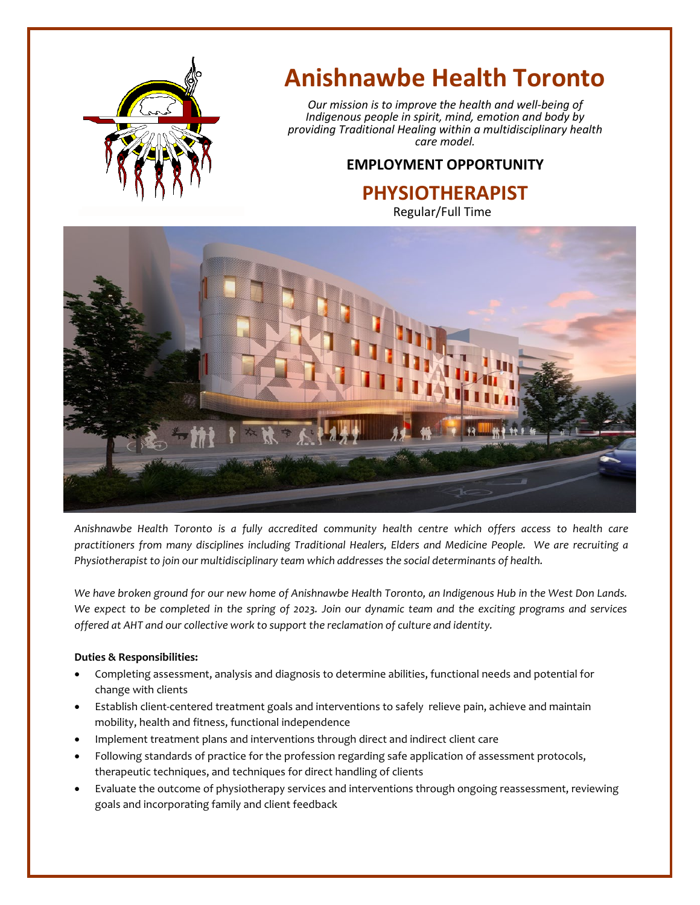

# **Anishnawbe Health Toronto**

*Our mission is to improve the health and well-being of Indigenous people in spirit, mind, emotion and body by providing Traditional Healing within a multidisciplinary health care model.*

## **EMPLOYMENT OPPORTUNITY**

**PHYSIOTHERAPIST** Regular/Full Time



*Anishnawbe Health Toronto is a fully accredited community health centre which offers access to health care practitioners from many disciplines including Traditional Healers, Elders and Medicine People. We are recruiting a Physiotherapist to join our multidisciplinary team which addresses the social determinants of health.*

*We have broken ground for our new home of Anishnawbe Health Toronto, an Indigenous Hub in the West Don Lands. We expect to be completed in the spring of 2023. Join our dynamic team and the exciting programs and services offered at AHT and our collective work to support the reclamation of culture and identity.*

### **Duties & Responsibilities:**

- Completing assessment, analysis and diagnosis to determine abilities, functional needs and potential for change with clients
- Establish client-centered treatment goals and interventions to safely relieve pain, achieve and maintain mobility, health and fitness, functional independence
- Implement treatment plans and interventions through direct and indirect client care
- Following standards of practice for the profession regarding safe application of assessment protocols, therapeutic techniques, and techniques for direct handling of clients
- Evaluate the outcome of physiotherapy services and interventions through ongoing reassessment, reviewing goals and incorporating family and client feedback